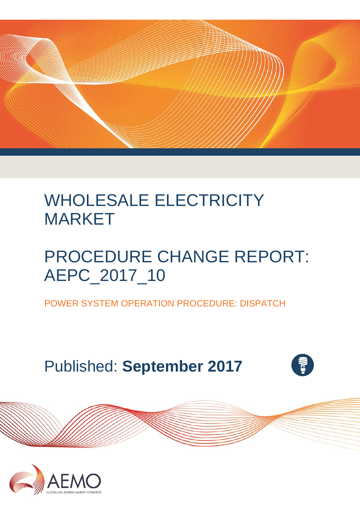

# WHOLESALE ELECTRICITY MARKET

# PROCEDURE CHANGE REPORT: AEPC\_2017\_10

POWER SYSTEM OPERATION PROCEDURE: DISPATCH

Published: **September 2017**



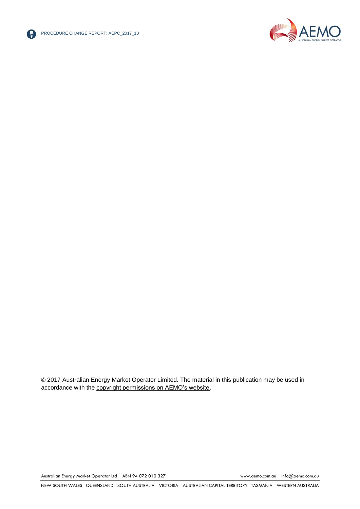



© 2017 Australian Energy Market Operator Limited. The material in this publication may be used in accordance with the [copyright permissions on AEMO's website.](http://aemo.com.au/Privacy_and_Legal_Notices/Copyright_Permissions_Notice)

Australian Energy Market Operator Ltd ABN 94 072 010 327 [www.aemo.com.au](http://www.aemo.com.au/) [info@aemo.com.au](mailto:info@aemo.com.au)

NEW SOUTH WALES QUEENSLAND SOUTH AUSTRALIA VICTORIA AUSTRALIAN CAPITAL TERRITORY TASMANIA WESTERN AUSTRALIA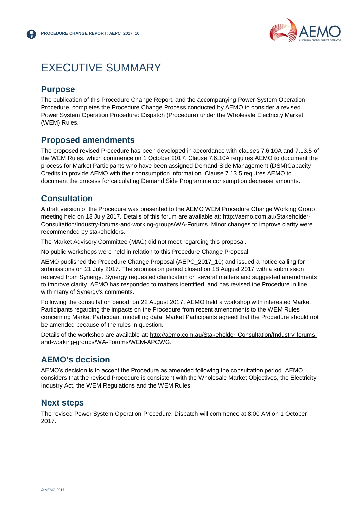

### <span id="page-2-0"></span>EXECUTIVE SUMMARY

#### **Purpose**

The publication of this Procedure Change Report, and the accompanying Power System Operation Procedure, completes the Procedure Change Process conducted by AEMO to consider a revised Power System Operation Procedure: Dispatch (Procedure) under the Wholesale Electricity Market (WEM) Rules.

#### **Proposed amendments**

The proposed revised Procedure has been developed in accordance with clauses 7.6.10A and 7.13.5 of the WEM Rules, which commence on 1 October 2017. Clause 7.6.10A requires AEMO to document the process for Market Participants who have been assigned Demand Side Management (DSM)Capacity Credits to provide AEMO with their consumption information. Clause 7.13.5 requires AEMO to document the process for calculating Demand Side Programme consumption decrease amounts.

#### **Consultation**

A draft version of the Procedure was presented to the AEMO WEM Procedure Change Working Group meeting held on 18 July 2017. Details of this forum are available at: [http://aemo.com.au/Stakeholder-](http://aemo.com.au/Stakeholder-Consultation/Industry-forums-and-working-groups/WA-Forums)[Consultation/Industry-forums-and-working-groups/WA-Forums.](http://aemo.com.au/Stakeholder-Consultation/Industry-forums-and-working-groups/WA-Forums) Minor changes to improve clarity were recommended by stakeholders.

The Market Advisory Committee (MAC) did not meet regarding this proposal.

No public workshops were held in relation to this Procedure Change Proposal.

AEMO published the Procedure Change Proposal (AEPC\_2017\_10) and issued a notice calling for submissions on 21 July 2017. The submission period closed on 18 August 2017 with a submission received from Synergy. Synergy requested clarification on several matters and suggested amendments to improve clarity. AEMO has responded to matters identified, and has revised the Procedure in line with many of Synergy's comments.

Following the consultation period, on 22 August 2017, AEMO held a workshop with interested Market Participants regarding the impacts on the Procedure from recent amendments to the WEM Rules concerning Market Participant modelling data. Market Participants agreed that the Procedure should not be amended because of the rules in question.

Details of the workshop are available at: [http://aemo.com.au/Stakeholder-Consultation/Industry-forums](http://aemo.com.au/Stakeholder-Consultation/Industry-forums-and-working-groups/WA-Forums/WEM-APCWG)[and-working-groups/WA-Forums/WEM-APCWG.](http://aemo.com.au/Stakeholder-Consultation/Industry-forums-and-working-groups/WA-Forums/WEM-APCWG)

#### **AEMO's decision**

AEMO's decision is to accept the Procedure as amended following the consultation period. AEMO considers that the revised Procedure is consistent with the Wholesale Market Objectives, the Electricity Industry Act, the WEM Regulations and the WEM Rules.

#### **Next steps**

The revised Power System Operation Procedure: Dispatch will commence at 8:00 AM on 1 October 2017.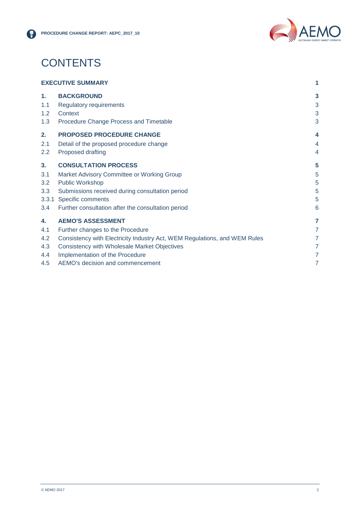

### **CONTENTS**

| <b>EXECUTIVE SUMMARY</b> |                                                                           | 1              |
|--------------------------|---------------------------------------------------------------------------|----------------|
| 1 <sub>1</sub>           | <b>BACKGROUND</b>                                                         | 3              |
| 1.1                      | <b>Regulatory requirements</b>                                            | 3              |
| 1.2                      | Context                                                                   | 3              |
| 1.3                      | Procedure Change Process and Timetable                                    | 3              |
| 2.                       | <b>PROPOSED PROCEDURE CHANGE</b>                                          | 4              |
| 2.1                      | Detail of the proposed procedure change                                   | 4              |
| 2.2                      | Proposed drafting                                                         | 4              |
| 3 <sub>1</sub>           | <b>CONSULTATION PROCESS</b>                                               | 5              |
| 3.1                      | Market Advisory Committee or Working Group                                | 5              |
| 3.2                      | <b>Public Workshop</b>                                                    | 5              |
| 3.3                      | Submissions received during consultation period                           | 5              |
| 3.3.1                    | Specific comments                                                         | 5              |
| 3.4                      | Further consultation after the consultation period                        | 6              |
| 4.                       | <b>AEMO'S ASSESSMENT</b>                                                  | 7              |
| 4.1                      | Further changes to the Procedure                                          | 7              |
| 4.2                      | Consistency with Electricity Industry Act, WEM Regulations, and WEM Rules | 7              |
| 4.3                      | Consistency with Wholesale Market Objectives                              | 7              |
| 4.4                      | Implementation of the Procedure                                           | $\overline{7}$ |
| 4.5                      | AEMO's decision and commencement                                          | 7              |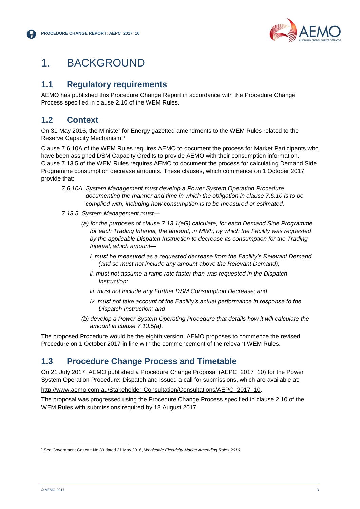

### <span id="page-4-0"></span>1. BACKGROUND

#### <span id="page-4-1"></span>**1.1 Regulatory requirements**

AEMO has published this Procedure Change Report in accordance with the Procedure Change Process specified in clause 2.10 of the WEM Rules.

#### <span id="page-4-2"></span>**1.2 Context**

On 31 May 2016, the Minister for Energy gazetted amendments to the WEM Rules related to the Reserve Capacity Mechanism.<sup>1</sup>

Clause 7.6.10A of the WEM Rules requires AEMO to document the process for Market Participants who have been assigned DSM Capacity Credits to provide AEMO with their consumption information. Clause 7.13.5 of the WEM Rules requires AEMO to document the process for calculating Demand Side Programme consumption decrease amounts. These clauses, which commence on 1 October 2017, provide that:

- *7.6.10A. System Management must develop a Power System Operation Procedure documenting the manner and time in which the obligation in clause 7.6.10 is to be complied with, including how consumption is to be measured or estimated.*
- *7.13.5. System Management must—*
	- *(a) for the purposes of clause 7.13.1(eG) calculate, for each Demand Side Programme for each Trading Interval, the amount, in MWh, by which the Facility was requested by the applicable Dispatch Instruction to decrease its consumption for the Trading Interval, which amount*
		- *i. must be measured as a requested decrease from the Facility's Relevant Demand (and so must not include any amount above the Relevant Demand);*
		- *ii. must not assume a ramp rate faster than was requested in the Dispatch Instruction;*
		- *iii. must not include any Further DSM Consumption Decrease; and*
		- *iv. must not take account of the Facility's actual performance in response to the Dispatch Instruction; and*
	- *(b) develop a Power System Operating Procedure that details how it will calculate the amount in clause 7.13.5(a).*

The proposed Procedure would be the eighth version. AEMO proposes to commence the revised Procedure on 1 October 2017 in line with the commencement of the relevant WEM Rules.

#### <span id="page-4-3"></span>**1.3 Procedure Change Process and Timetable**

On 21 July 2017, AEMO published a Procedure Change Proposal (AEPC\_2017\_10) for the Power System Operation Procedure: Dispatch and issued a call for submissions, which are available at:

[http://www.aemo.com.au/Stakeholder-Consultation/Consultations/AEPC\\_2017\\_10.](http://www.aemo.com.au/Stakeholder-Consultation/Consultations/AEPC_2017_10)

The proposal was progressed using the Procedure Change Process specified in clause 2.10 of the WEM Rules with submissions required by 18 August 2017.

l <sup>1</sup> See Government Gazette No.89 dated 31 May 2016, *Wholesale Electricity Market Amending Rules 2016*.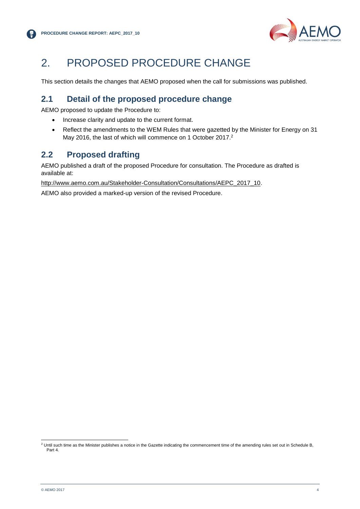

## <span id="page-5-0"></span>2. PROPOSED PROCEDURE CHANGE

This section details the changes that AEMO proposed when the call for submissions was published.

### <span id="page-5-1"></span>**2.1 Detail of the proposed procedure change**

AEMO proposed to update the Procedure to:

- Increase clarity and update to the current format.
- Reflect the amendments to the WEM Rules that were gazetted by the Minister for Energy on 31 May 2016, the last of which will commence on 1 October 2017.<sup>2</sup>

#### <span id="page-5-2"></span>**2.2 Proposed drafting**

AEMO published a draft of the proposed Procedure for consultation. The Procedure as drafted is available at:

[http://www.aemo.com.au/Stakeholder-Consultation/Consultations/AEPC\\_2017\\_10.](http://www.aemo.com.au/Stakeholder-Consultation/Consultations/AEPC_2017_10)

AEMO also provided a marked-up version of the revised Procedure.

l  $^2$  Until such time as the Minister publishes a notice in the Gazette indicating the commencement time of the amending rules set out in Schedule B, Part 4.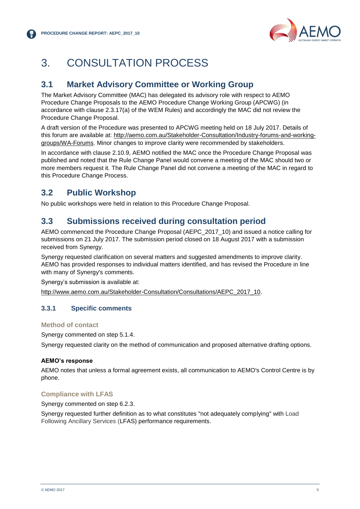

## <span id="page-6-0"></span>3. CONSULTATION PROCESS

#### <span id="page-6-1"></span>**3.1 Market Advisory Committee or Working Group**

The Market Advisory Committee (MAC) has delegated its advisory role with respect to AEMO Procedure Change Proposals to the AEMO Procedure Change Working Group (APCWG) (in accordance with clause 2.3.17(a) of the WEM Rules) and accordingly the MAC did not review the Procedure Change Proposal.

A draft version of the Procedure was presented to APCWG meeting held on 18 July 2017. Details of this forum are available at: [http://aemo.com.au/Stakeholder-Consultation/Industry-forums-and-working](http://aemo.com.au/Stakeholder-Consultation/Industry-forums-and-working-groups/WA-Forums)[groups/WA-Forums.](http://aemo.com.au/Stakeholder-Consultation/Industry-forums-and-working-groups/WA-Forums) Minor changes to improve clarity were recommended by stakeholders.

In accordance with clause 2.10.9, AEMO notified the MAC once the Procedure Change Proposal was published and noted that the Rule Change Panel would convene a meeting of the MAC should two or more members request it. The Rule Change Panel did not convene a meeting of the MAC in regard to this Procedure Change Process.

### <span id="page-6-2"></span>**3.2 Public Workshop**

No public workshops were held in relation to this Procedure Change Proposal.

#### <span id="page-6-3"></span>**3.3 Submissions received during consultation period**

AEMO commenced the Procedure Change Proposal (AEPC\_2017\_10) and issued a notice calling for submissions on 21 July 2017. The submission period closed on 18 August 2017 with a submission received from Synergy.

Synergy requested clarification on several matters and suggested amendments to improve clarity. AEMO has provided responses to individual matters identified, and has revised the Procedure in line with many of Synergy's comments.

Synergy's submission is available at:

[http://www.aemo.com.au/Stakeholder-Consultation/Consultations/AEPC\\_2017\\_10.](http://www.aemo.com.au/Stakeholder-Consultation/Consultations/AEPC_2017_10)

#### <span id="page-6-4"></span>**3.3.1 Specific comments**

#### **Method of contact**

Synergy commented on step 5.1.4.

Synergy requested clarity on the method of communication and proposed alternative drafting options.

#### **AEMO's response**

AEMO notes that unless a formal agreement exists, all communication to AEMO's Control Centre is by phone.

#### **Compliance with LFAS**

Synergy commented on step 6.2.3.

Synergy requested further definition as to what constitutes "not adequately complying" with Load Following Ancillary Services (LFAS) performance requirements.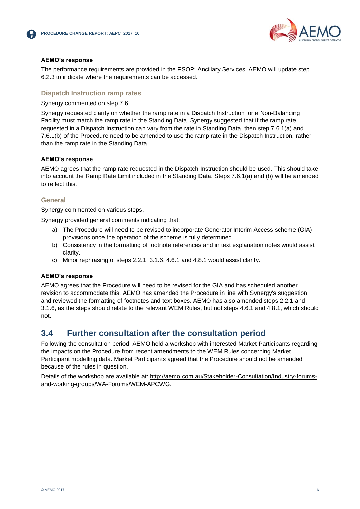



#### **AEMO's response**

The performance requirements are provided in the PSOP: Ancillary Services. AEMO will update step 6.2.3 to indicate where the requirements can be accessed.

#### **Dispatch Instruction ramp rates**

Synergy commented on step 7.6.

Synergy requested clarity on whether the ramp rate in a Dispatch Instruction for a Non-Balancing Facility must match the ramp rate in the Standing Data. Synergy suggested that if the ramp rate requested in a Dispatch Instruction can vary from the rate in Standing Data, then step 7.6.1(a) and 7.6.1(b) of the Procedure need to be amended to use the ramp rate in the Dispatch Instruction, rather than the ramp rate in the Standing Data.

#### **AEMO's response**

AEMO agrees that the ramp rate requested in the Dispatch Instruction should be used. This should take into account the Ramp Rate Limit included in the Standing Data. Steps 7.6.1(a) and (b) will be amended to reflect this.

#### **General**

Synergy commented on various steps.

Synergy provided general comments indicating that:

- a) The Procedure will need to be revised to incorporate Generator Interim Access scheme (GIA) provisions once the operation of the scheme is fully determined.
- b) Consistency in the formatting of footnote references and in text explanation notes would assist clarity.
- c) Minor rephrasing of steps 2.2.1, 3.1.6, 4.6.1 and 4.8.1 would assist clarity.

#### **AEMO's response**

AEMO agrees that the Procedure will need to be revised for the GIA and has scheduled another revision to accommodate this. AEMO has amended the Procedure in line with Synergy's suggestion and reviewed the formatting of footnotes and text boxes. AEMO has also amended steps 2.2.1 and 3.1.6, as the steps should relate to the relevant WEM Rules, but not steps 4.6.1 and 4.8.1, which should not.

#### <span id="page-7-0"></span>**3.4 Further consultation after the consultation period**

Following the consultation period, AEMO held a workshop with interested Market Participants regarding the impacts on the Procedure from recent amendments to the WEM Rules concerning Market Participant modelling data. Market Participants agreed that the Procedure should not be amended because of the rules in question.

Details of the workshop are available at: [http://aemo.com.au/Stakeholder-Consultation/Industry-forums](http://aemo.com.au/Stakeholder-Consultation/Industry-forums-and-working-groups/WA-Forums/WEM-APCWG)[and-working-groups/WA-Forums/WEM-APCWG.](http://aemo.com.au/Stakeholder-Consultation/Industry-forums-and-working-groups/WA-Forums/WEM-APCWG)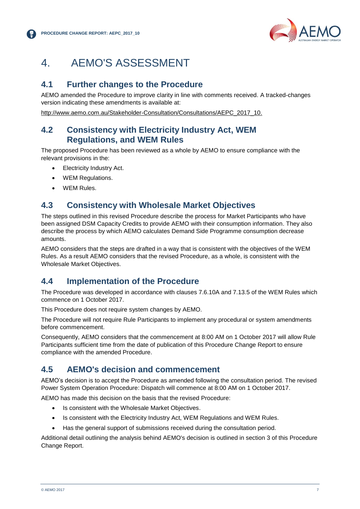

## <span id="page-8-0"></span>4. AEMO'S ASSESSMENT

#### <span id="page-8-1"></span>**4.1 Further changes to the Procedure**

AEMO amended the Procedure to improve clarity in line with comments received. A tracked-changes version indicating these amendments is available at:

[http://www.aemo.com.au/Stakeholder-Consultation/Consultations/AEPC\\_2017\\_10.](http://www.aemo.com.au/Stakeholder-Consultation/Consultations/AEPC_2017_10)

#### <span id="page-8-2"></span>**4.2 Consistency with Electricity Industry Act, WEM Regulations, and WEM Rules**

The proposed Procedure has been reviewed as a whole by AEMO to ensure compliance with the relevant provisions in the:

- Electricity Industry Act.
- WEM Regulations.
- WEM Rules.

#### <span id="page-8-3"></span>**4.3 Consistency with Wholesale Market Objectives**

The steps outlined in this revised Procedure describe the process for Market Participants who have been assigned DSM Capacity Credits to provide AEMO with their consumption information. They also describe the process by which AEMO calculates Demand Side Programme consumption decrease amounts.

AEMO considers that the steps are drafted in a way that is consistent with the objectives of the WEM Rules. As a result AEMO considers that the revised Procedure, as a whole, is consistent with the Wholesale Market Objectives.

#### <span id="page-8-4"></span>**4.4 Implementation of the Procedure**

The Procedure was developed in accordance with clauses 7.6.10A and 7.13.5 of the WEM Rules which commence on 1 October 2017.

This Procedure does not require system changes by AEMO.

The Procedure will not require Rule Participants to implement any procedural or system amendments before commencement.

Consequently, AEMO considers that the commencement at 8:00 AM on 1 October 2017 will allow Rule Participants sufficient time from the date of publication of this Procedure Change Report to ensure compliance with the amended Procedure.

#### <span id="page-8-5"></span>**4.5 AEMO's decision and commencement**

AEMO's decision is to accept the Procedure as amended following the consultation period. The revised Power System Operation Procedure: Dispatch will commence at 8:00 AM on 1 October 2017.

AEMO has made this decision on the basis that the revised Procedure:

- Is consistent with the Wholesale Market Objectives.
- Is consistent with the Electricity Industry Act, WEM Regulations and WEM Rules.
- Has the general support of submissions received during the consultation period.

Additional detail outlining the analysis behind AEMO's decision is outlined in section 3 of this Procedure Change Report.